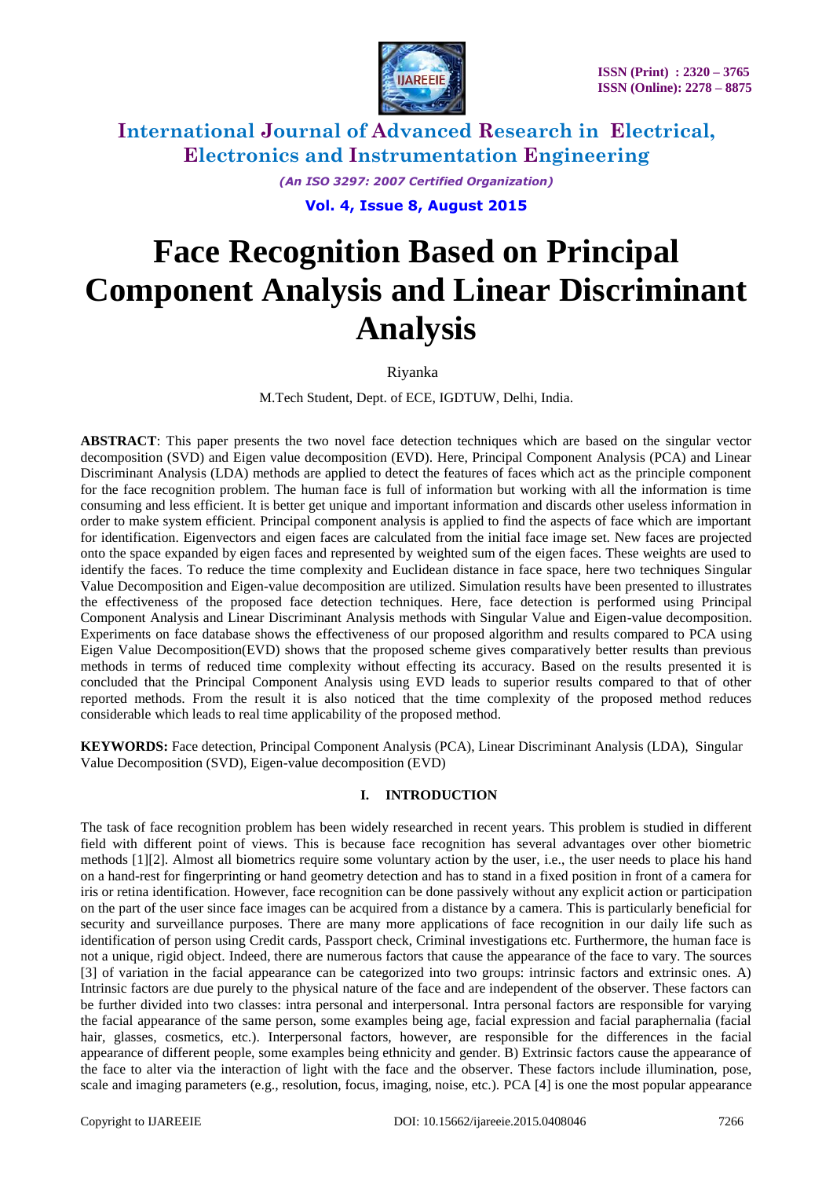

*(An ISO 3297: 2007 Certified Organization)*

**Vol. 4, Issue 8, August 2015**

# **Face Recognition Based on Principal Component Analysis and Linear Discriminant Analysis**

Riyanka

M.Tech Student, Dept. of ECE, IGDTUW, Delhi, India.

**ABSTRACT**: This paper presents the two novel face detection techniques which are based on the singular vector decomposition (SVD) and Eigen value decomposition (EVD). Here, Principal Component Analysis (PCA) and Linear Discriminant Analysis (LDA) methods are applied to detect the features of faces which act as the principle component for the face recognition problem. The human face is full of information but working with all the information is time consuming and less efficient. It is better get unique and important information and discards other useless information in order to make system efficient. Principal component analysis is applied to find the aspects of face which are important for identification. Eigenvectors and eigen faces are calculated from the initial face image set. New faces are projected onto the space expanded by eigen faces and represented by weighted sum of the eigen faces. These weights are used to identify the faces. To reduce the time complexity and Euclidean distance in face space, here two techniques Singular Value Decomposition and Eigen-value decomposition are utilized. Simulation results have been presented to illustrates the effectiveness of the proposed face detection techniques. Here, face detection is performed using Principal Component Analysis and Linear Discriminant Analysis methods with Singular Value and Eigen-value decomposition. Experiments on face database shows the effectiveness of our proposed algorithm and results compared to PCA using Eigen Value Decomposition(EVD) shows that the proposed scheme gives comparatively better results than previous methods in terms of reduced time complexity without effecting its accuracy. Based on the results presented it is concluded that the Principal Component Analysis using EVD leads to superior results compared to that of other reported methods. From the result it is also noticed that the time complexity of the proposed method reduces considerable which leads to real time applicability of the proposed method.

**KEYWORDS:** Face detection, Principal Component Analysis (PCA), Linear Discriminant Analysis (LDA), Singular Value Decomposition (SVD), Eigen-value decomposition (EVD)

### **I. INTRODUCTION**

The task of face recognition problem has been widely researched in recent years. This problem is studied in different field with different point of views. This is because face recognition has several advantages over other biometric methods [1][2]. Almost all biometrics require some voluntary action by the user, i.e., the user needs to place his hand on a hand-rest for fingerprinting or hand geometry detection and has to stand in a fixed position in front of a camera for iris or retina identification. However, face recognition can be done passively without any explicit action or participation on the part of the user since face images can be acquired from a distance by a camera. This is particularly beneficial for security and surveillance purposes. There are many more applications of face recognition in our daily life such as identification of person using Credit cards, Passport check, Criminal investigations etc. Furthermore, the human face is not a unique, rigid object. Indeed, there are numerous factors that cause the appearance of the face to vary. The sources [3] of variation in the facial appearance can be categorized into two groups: intrinsic factors and extrinsic ones. A) Intrinsic factors are due purely to the physical nature of the face and are independent of the observer. These factors can be further divided into two classes: intra personal and interpersonal. Intra personal factors are responsible for varying the facial appearance of the same person, some examples being age, facial expression and facial paraphernalia (facial hair, glasses, cosmetics, etc.). Interpersonal factors, however, are responsible for the differences in the facial appearance of different people, some examples being ethnicity and gender. B) Extrinsic factors cause the appearance of the face to alter via the interaction of light with the face and the observer. These factors include illumination, pose, scale and imaging parameters (e.g., resolution, focus, imaging, noise, etc.). PCA [4] is one the most popular appearance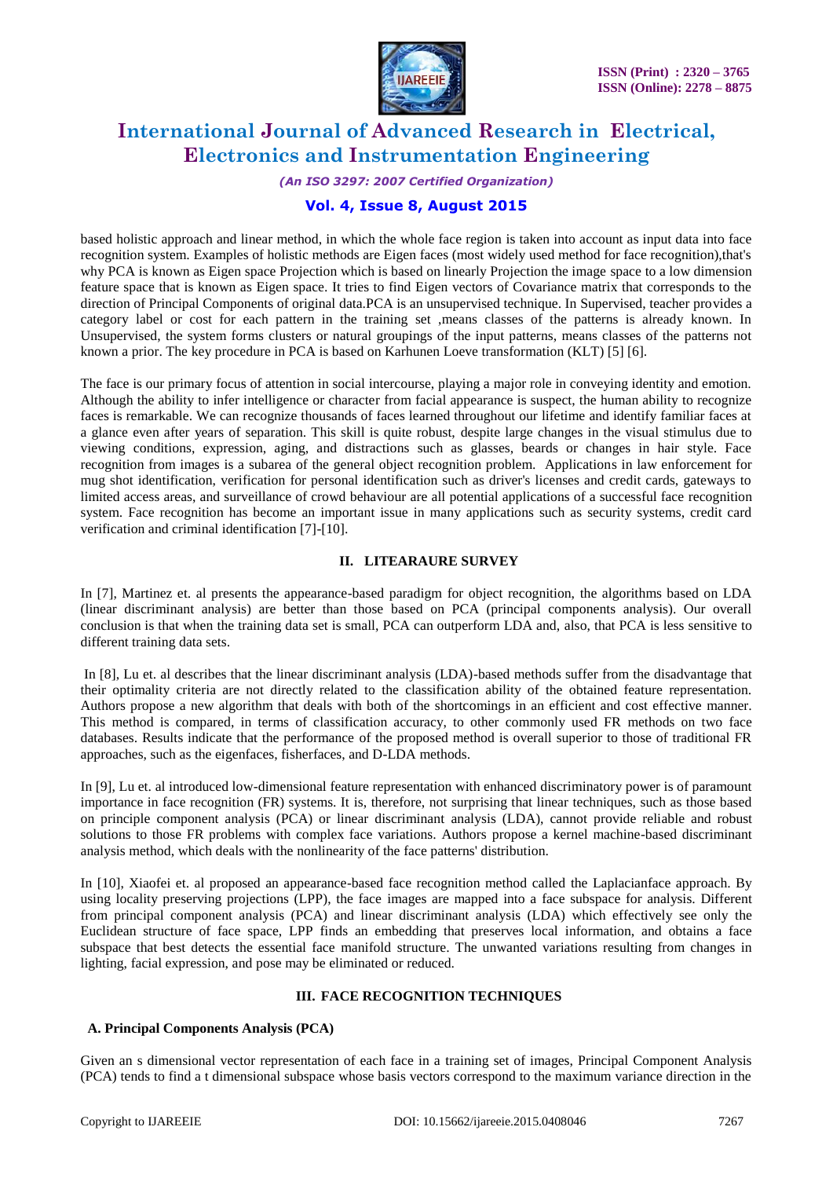

*(An ISO 3297: 2007 Certified Organization)*

### **Vol. 4, Issue 8, August 2015**

based holistic approach and linear method, in which the whole face region is taken into account as input data into face recognition system. Examples of holistic methods are Eigen faces (most widely used method for face recognition),that's why PCA is known as Eigen space Projection which is based on linearly Projection the image space to a low dimension feature space that is known as Eigen space. It tries to find Eigen vectors of Covariance matrix that corresponds to the direction of Principal Components of original data.PCA is an unsupervised technique. In Supervised, teacher provides a category label or cost for each pattern in the training set ,means classes of the patterns is already known. In Unsupervised, the system forms clusters or natural groupings of the input patterns, means classes of the patterns not known a prior. The key procedure in PCA is based on Karhunen Loeve transformation (KLT) [5] [6].

The face is our primary focus of attention in social intercourse, playing a major role in conveying identity and emotion. Although the ability to infer intelligence or character from facial appearance is suspect, the human ability to recognize faces is remarkable. We can recognize thousands of faces learned throughout our lifetime and identify familiar faces at a glance even after years of separation. This skill is quite robust, despite large changes in the visual stimulus due to viewing conditions, expression, aging, and distractions such as glasses, beards or changes in hair style. Face recognition from images is a subarea of the general object recognition problem. Applications in law enforcement for mug shot identification, verification for personal identification such as driver's licenses and credit cards, gateways to limited access areas, and surveillance of crowd behaviour are all potential applications of a successful face recognition system. Face recognition has become an important issue in many applications such as security systems, credit card verification and criminal identification [7]-[10].

### **II. LITEARAURE SURVEY**

In [7], Martinez et. al presents the appearance-based paradigm for object recognition, the algorithms based on LDA (linear discriminant analysis) are better than those based on PCA (principal components analysis). Our overall conclusion is that when the training data set is small, PCA can outperform LDA and, also, that PCA is less sensitive to different training data sets.

In [8], Lu et. al describes that the linear discriminant analysis (LDA)-based methods suffer from the disadvantage that their optimality criteria are not directly related to the classification ability of the obtained feature representation. Authors propose a new algorithm that deals with both of the shortcomings in an efficient and cost effective manner. This method is compared, in terms of classification accuracy, to other commonly used FR methods on two face databases. Results indicate that the performance of the proposed method is overall superior to those of traditional FR approaches, such as the eigenfaces, fisherfaces, and D-LDA methods.

In [9], Lu et. al introduced low-dimensional feature representation with enhanced discriminatory power is of paramount importance in face recognition (FR) systems. It is, therefore, not surprising that linear techniques, such as those based on principle component analysis (PCA) or linear discriminant analysis (LDA), cannot provide reliable and robust solutions to those FR problems with complex face variations. Authors propose a kernel machine-based discriminant analysis method, which deals with the nonlinearity of the face patterns' distribution.

In [10], Xiaofei et. al proposed an appearance-based face recognition method called the Laplacianface approach. By using locality preserving projections (LPP), the face images are mapped into a face subspace for analysis. Different from principal component analysis (PCA) and linear discriminant analysis (LDA) which effectively see only the Euclidean structure of face space, LPP finds an embedding that preserves local information, and obtains a face subspace that best detects the essential face manifold structure. The unwanted variations resulting from changes in lighting, facial expression, and pose may be eliminated or reduced.

### **III. FACE RECOGNITION TECHNIQUES**

### **A. Principal Components Analysis (PCA)**

Given an s dimensional vector representation of each face in a training set of images, Principal Component Analysis (PCA) tends to find a t dimensional subspace whose basis vectors correspond to the maximum variance direction in the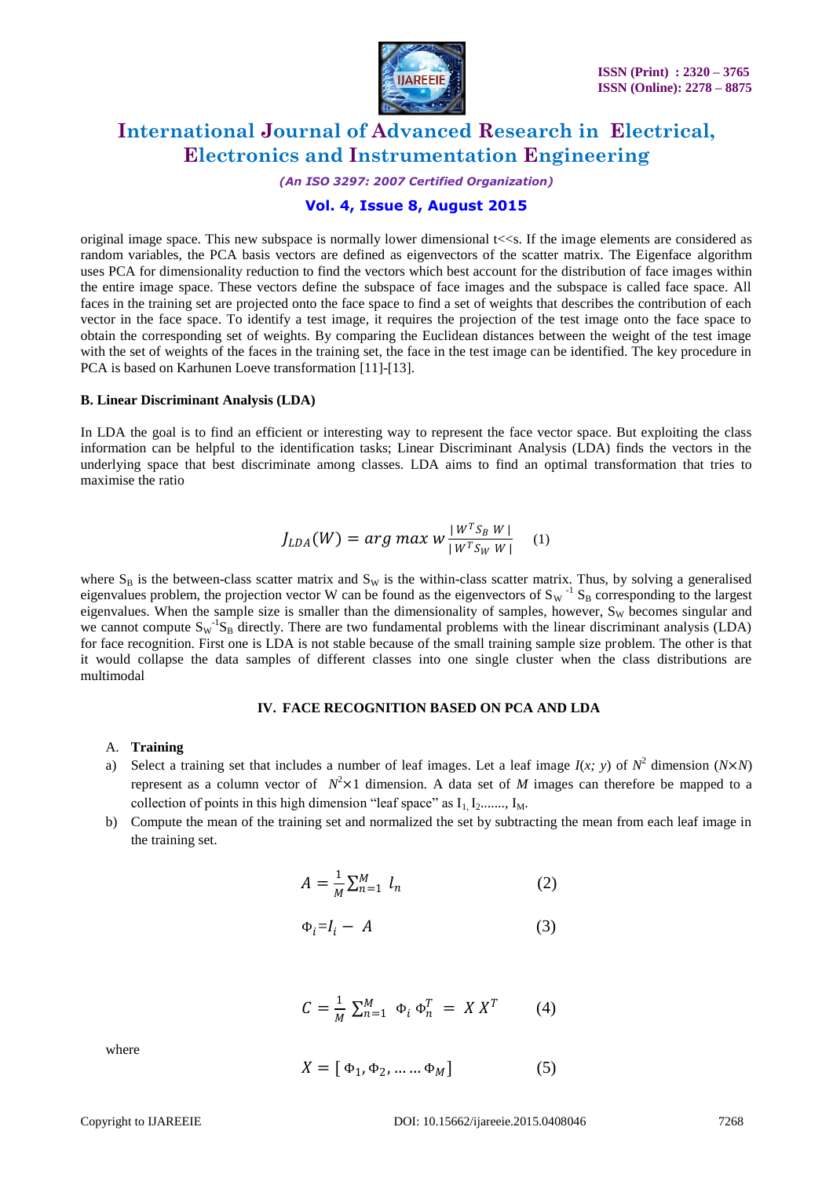

*(An ISO 3297: 2007 Certified Organization)*

### **Vol. 4, Issue 8, August 2015**

original image space. This new subspace is normally lower dimensional  $t \ll s$ . If the image elements are considered as random variables, the PCA basis vectors are defined as eigenvectors of the scatter matrix. The Eigenface algorithm uses PCA for dimensionality reduction to find the vectors which best account for the distribution of face images within the entire image space. These vectors define the subspace of face images and the subspace is called face space. All faces in the training set are projected onto the face space to find a set of weights that describes the contribution of each vector in the face space. To identify a test image, it requires the projection of the test image onto the face space to obtain the corresponding set of weights. By comparing the Euclidean distances between the weight of the test image with the set of weights of the faces in the training set, the face in the test image can be identified. The key procedure in PCA is based on Karhunen Loeve transformation [11]-[13].

#### **B. Linear Discriminant Analysis (LDA)**

In LDA the goal is to find an efficient or interesting way to represent the face vector space. But exploiting the class information can be helpful to the identification tasks; Linear Discriminant Analysis (LDA) finds the vectors in the underlying space that best discriminate among classes. LDA aims to find an optimal transformation that tries to maximise the ratio

$$
J_{LDA}(W) = arg \ max w \frac{|W^{T} S_B W|}{|W^{T} S_W W|} \quad (1)
$$

where  $S_B$  is the between-class scatter matrix and  $S_W$  is the within-class scatter matrix. Thus, by solving a generalised eigenvalues problem, the projection vector W can be found as the eigenvectors of  $S_W^{-1} S_B$  corresponding to the largest eigenvalues. When the sample size is smaller than the dimensionality of samples, however,  $S_W$  becomes singular and we cannot compute  $S_W^{-1}S_B$  directly. There are two fundamental problems with the linear discriminant analysis (LDA) for face recognition. First one is LDA is not stable because of the small training sample size problem. The other is that it would collapse the data samples of different classes into one single cluster when the class distributions are multimodal

#### **IV. FACE RECOGNITION BASED ON PCA AND LDA**

#### A. **Training**

- a) Select a training set that includes a number of leaf images. Let a leaf image  $I(x; y)$  of  $N^2$  dimension  $(N \times N)$ represent as a column vector of  $N^2 \times 1$  dimension. A data set of *M* images can therefore be mapped to a collection of points in this high dimension "leaf space" as  $I_1, I_2, \ldots, I_M$ .
- b) Compute the mean of the training set and normalized the set by subtracting the mean from each leaf image in the training set.

$$
A = \frac{1}{M} \sum_{n=1}^{M} l_n \tag{2}
$$

$$
\Phi_i = I_i - A \tag{3}
$$

$$
C = \frac{1}{M} \sum_{n=1}^{M} \Phi_i \Phi_n^T = X X^T \tag{4}
$$

where

$$
X = [\Phi_1, \Phi_2, \dots \dots \Phi_M]
$$
 (5)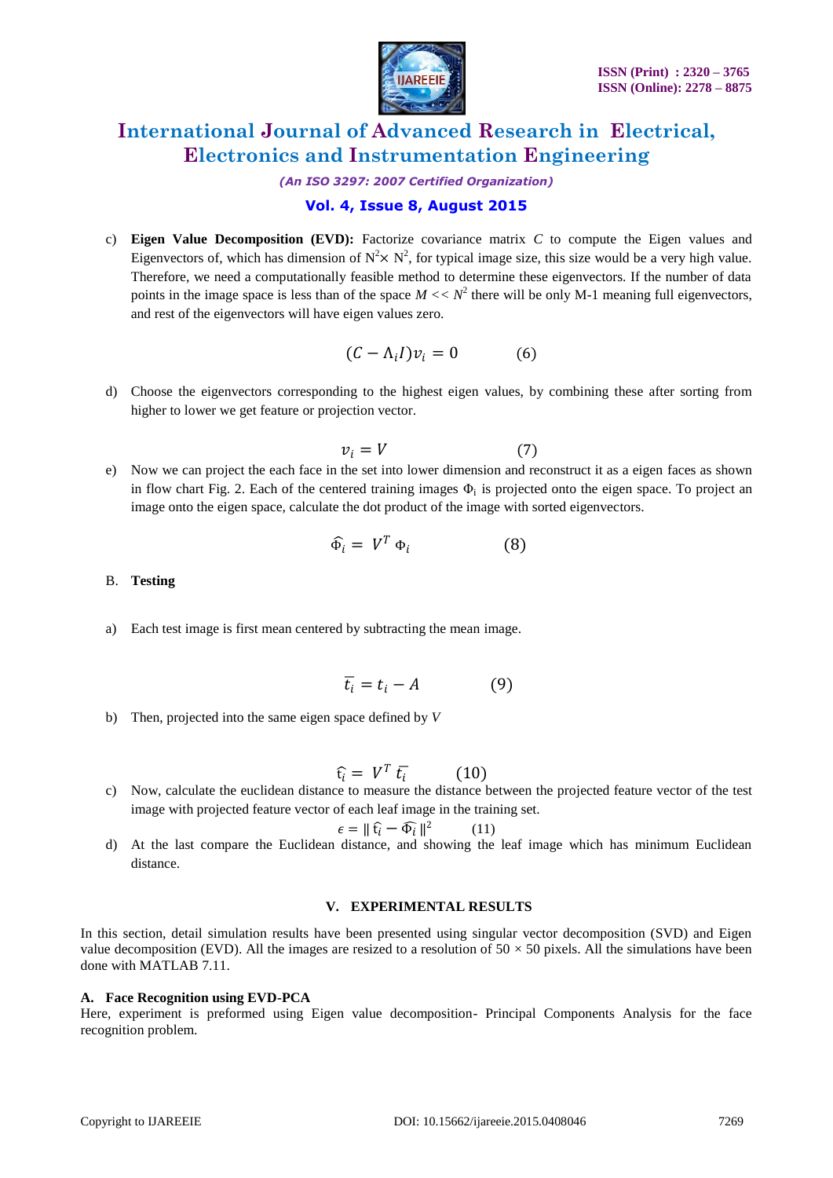

*(An ISO 3297: 2007 Certified Organization)*

### **Vol. 4, Issue 8, August 2015**

c) **Eigen Value Decomposition (EVD):** Factorize covariance matrix *C* to compute the Eigen values and Eigenvectors of, which has dimension of  $N^2 \times N^2$ , for typical image size, this size would be a very high value. Therefore, we need a computationally feasible method to determine these eigenvectors. If the number of data points in the image space is less than of the space  $M \ll N^2$  there will be only M-1 meaning full eigenvectors, and rest of the eigenvectors will have eigen values zero.

$$
(C - \Lambda_i I)v_i = 0 \tag{6}
$$

d) Choose the eigenvectors corresponding to the highest eigen values, by combining these after sorting from higher to lower we get feature or projection vector.

$$
v_i = V \tag{7}
$$

e) Now we can project the each face in the set into lower dimension and reconstruct it as a eigen faces as shown in flow chart Fig. 2. Each of the centered training images  $\Phi_i$  is projected onto the eigen space. To project an image onto the eigen space, calculate the dot product of the image with sorted eigenvectors.

$$
\widehat{\Phi}_i = V^T \Phi_i \tag{8}
$$

#### B. **Testing**

a) Each test image is first mean centered by subtracting the mean image.

$$
\overline{t_i} = t_i - A \tag{9}
$$

b) Then, projected into the same eigen space defined by *V*

$$
\widehat{\mathfrak{t}_i} = V^T \,\bar{t_i} \qquad \qquad (10)
$$

c) Now, calculate the euclidean distance to measure the distance between the projected feature vector of the test image with projected feature vector of each leaf image in the training set.

$$
\epsilon = \|\hat{\mathbf{t}}_i - \widehat{\Phi}_i\|^2 \qquad (11)
$$

d) At the last compare the Euclidean distance, and showing the leaf image which has minimum Euclidean distance.

#### **V. EXPERIMENTAL RESULTS**

In this section, detail simulation results have been presented using singular vector decomposition (SVD) and Eigen value decomposition (EVD). All the images are resized to a resolution of  $50 \times 50$  pixels. All the simulations have been done with MATLAB 7.11.

#### **A. Face Recognition using EVD-PCA**

Here, experiment is preformed using Eigen value decomposition- Principal Components Analysis for the face recognition problem.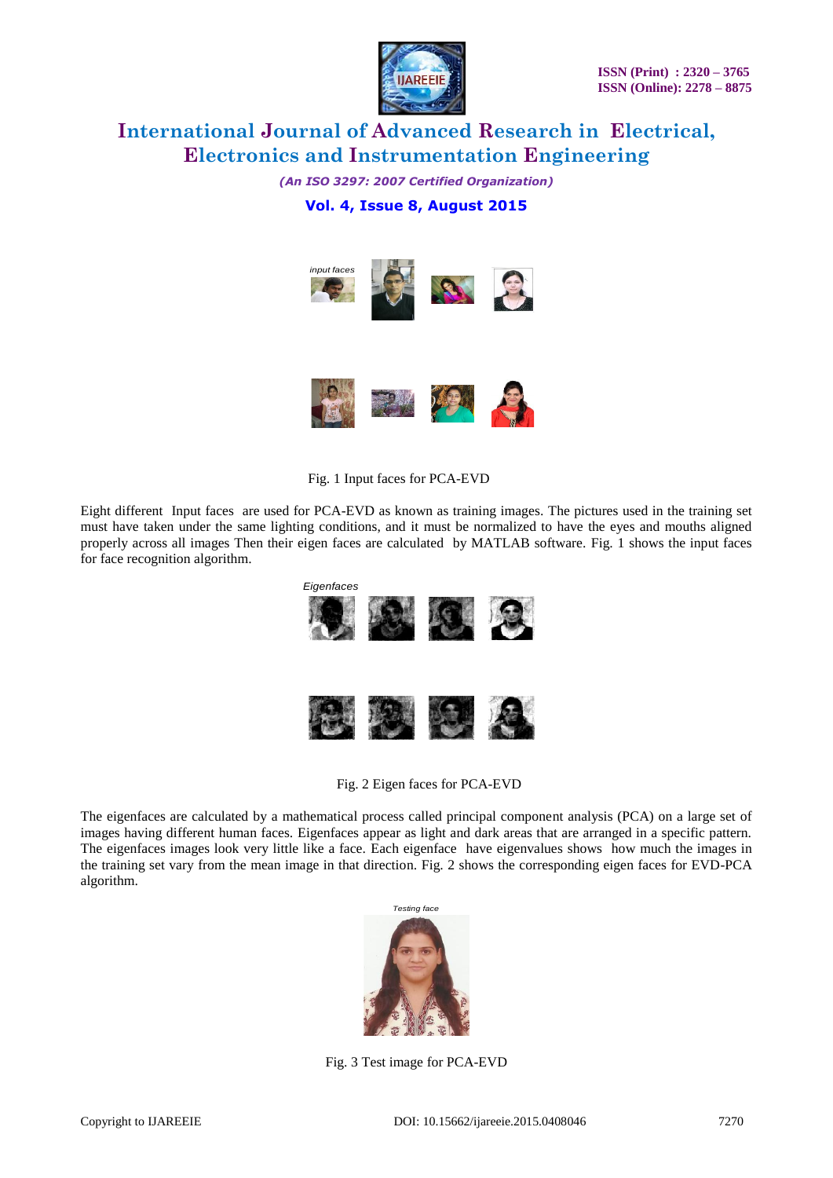

*(An ISO 3297: 2007 Certified Organization)* **Vol. 4, Issue 8, August 2015**





Fig. 1 Input faces for PCA-EVD

Eight different Input faces are used for PCA-EVD as known as training images. The pictures used in the training set must have taken under the same lighting conditions, and it must be normalized to have the eyes and mouths aligned properly across all images Then their eigen faces are calculated by MATLAB software. Fig. 1 shows the input faces for face recognition algorithm.



### Fig. 2 Eigen faces for PCA-EVD

The eigenfaces are calculated by a mathematical process called principal component analysis (PCA) on a large set of images having different human faces. Eigenfaces appear as light and dark areas that are arranged in a specific pattern. The eigenfaces images look very little like a face. Each eigenface have eigenvalues shows how much the images in the training set vary from the mean image in that direction. Fig. 2 shows the corresponding eigen faces for EVD-PCA algorithm.



Fig. 3 Test image for PCA-EVD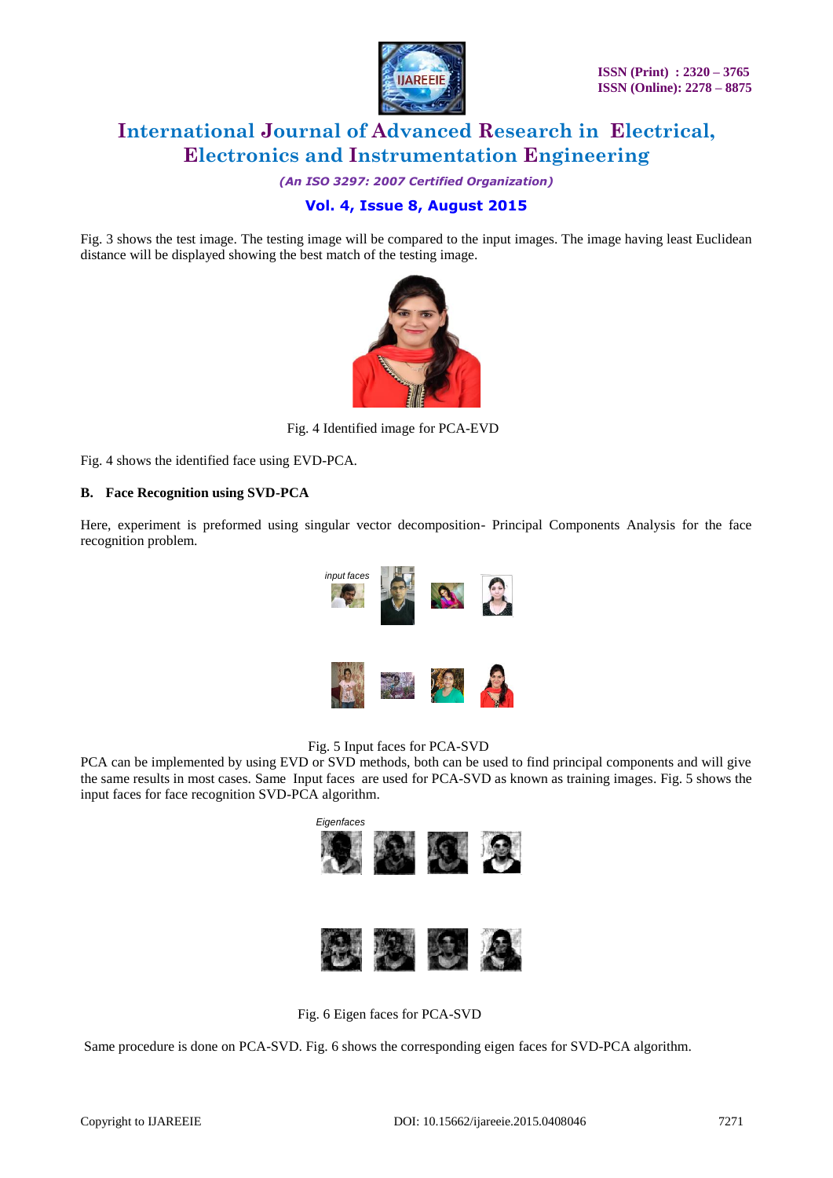

*(An ISO 3297: 2007 Certified Organization)*

# **Vol. 4, Issue 8, August 2015**

Fig. 3 shows the test image. The testing image will be compared to the input images. The image having least Euclidean distance will be displayed showing the best match of the testing image.



Fig. 4 Identified image for PCA-EVD

Fig. 4 shows the identified face using EVD-PCA.

### **B. Face Recognition using SVD-PCA**

Here, experiment is preformed using singular vector decomposition- Principal Components Analysis for the face recognition problem.





PCA can be implemented by using EVD or SVD methods, both can be used to find principal components and will give the same results in most cases. Same Input faces are used for PCA-SVD as known as training images. Fig. 5 shows the input faces for face recognition SVD-PCA algorithm.



Fig. 6 Eigen faces for PCA-SVD

Same procedure is done on PCA-SVD. Fig. 6 shows the corresponding eigen faces for SVD-PCA algorithm.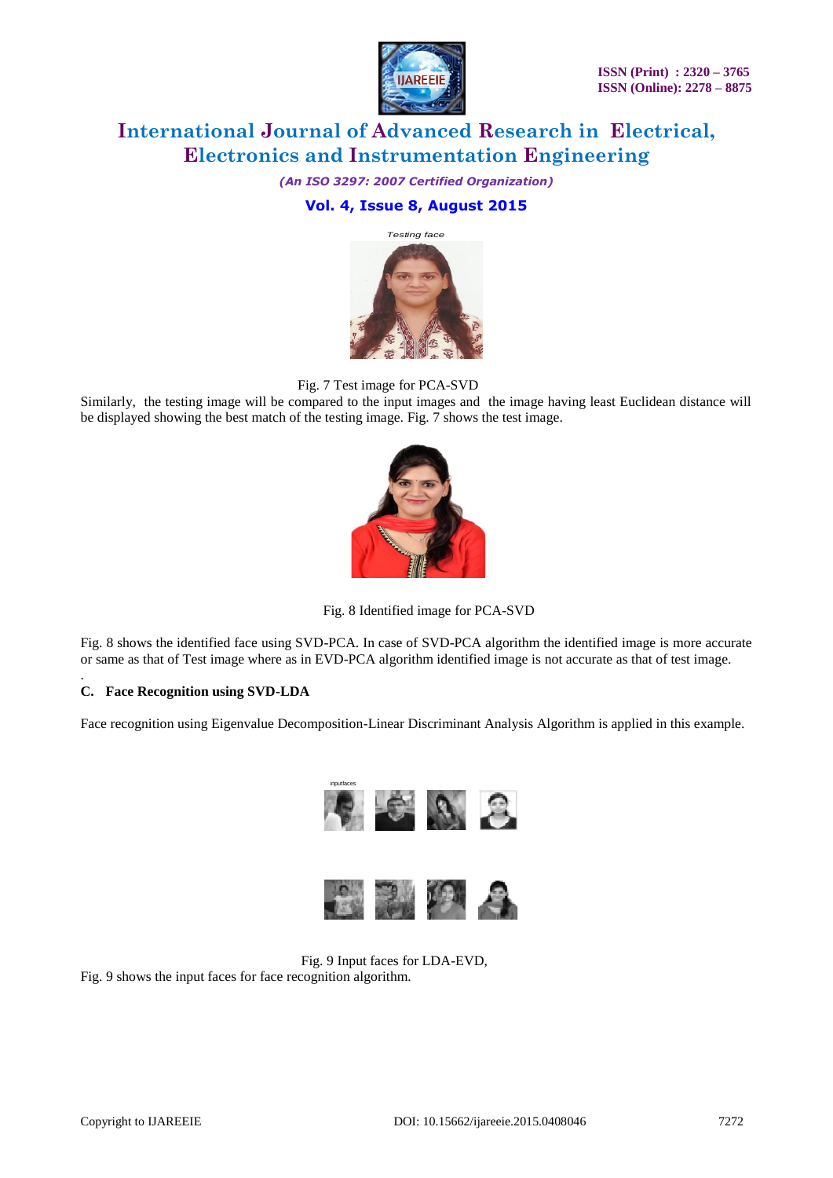

*(An ISO 3297: 2007 Certified Organization)*

## **Vol. 4, Issue 8, August 2015**



Fig. 7 Test image for PCA-SVD

Similarly, the testing image will be compared to the input images and the image having least Euclidean distance will be displayed showing the best match of the testing image. Fig. 7 shows the test image.



Fig. 8 Identified image for PCA-SVD

Fig. 8 shows the identified face using SVD-PCA. In case of SVD-PCA algorithm the identified image is more accurate or same as that of Test image where as in EVD-PCA algorithm identified image is not accurate as that of test image.

#### . **C. Face Recognition using SVD-LDA**

Face recognition using Eigenvalue Decomposition-Linear Discriminant Analysis Algorithm is applied in this example.



Fig. 9 Input faces for LDA-EVD,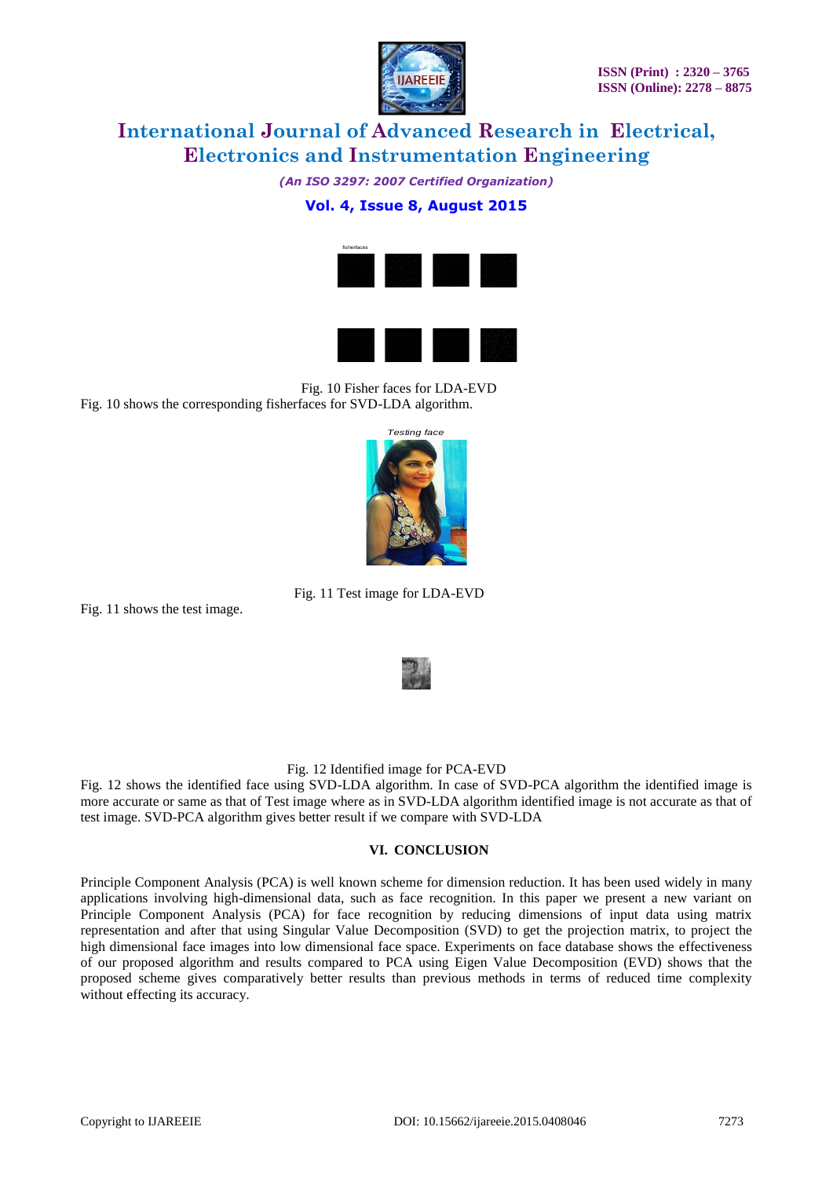

*(An ISO 3297: 2007 Certified Organization)*

### **Vol. 4, Issue 8, August 2015**





 Fig. 10 Fisher faces for LDA-EVD Fig. 10 shows the corresponding fisherfaces for SVD-LDA algorithm.



Fig. 11 Test image for LDA-EVD

Fig. 11 shows the test image.



### Fig. 12 Identified image for PCA-EVD

Fig. 12 shows the identified face using SVD-LDA algorithm. In case of SVD-PCA algorithm the identified image is more accurate or same as that of Test image where as in SVD-LDA algorithm identified image is not accurate as that of test image. SVD-PCA algorithm gives better result if we compare with SVD-LDA

#### **VI. CONCLUSION**

Principle Component Analysis (PCA) is well known scheme for dimension reduction. It has been used widely in many applications involving high-dimensional data, such as face recognition. In this paper we present a new variant on Principle Component Analysis (PCA) for face recognition by reducing dimensions of input data using matrix representation and after that using Singular Value Decomposition (SVD) to get the projection matrix, to project the high dimensional face images into low dimensional face space. Experiments on face database shows the effectiveness of our proposed algorithm and results compared to PCA using Eigen Value Decomposition (EVD) shows that the proposed scheme gives comparatively better results than previous methods in terms of reduced time complexity without effecting its accuracy.